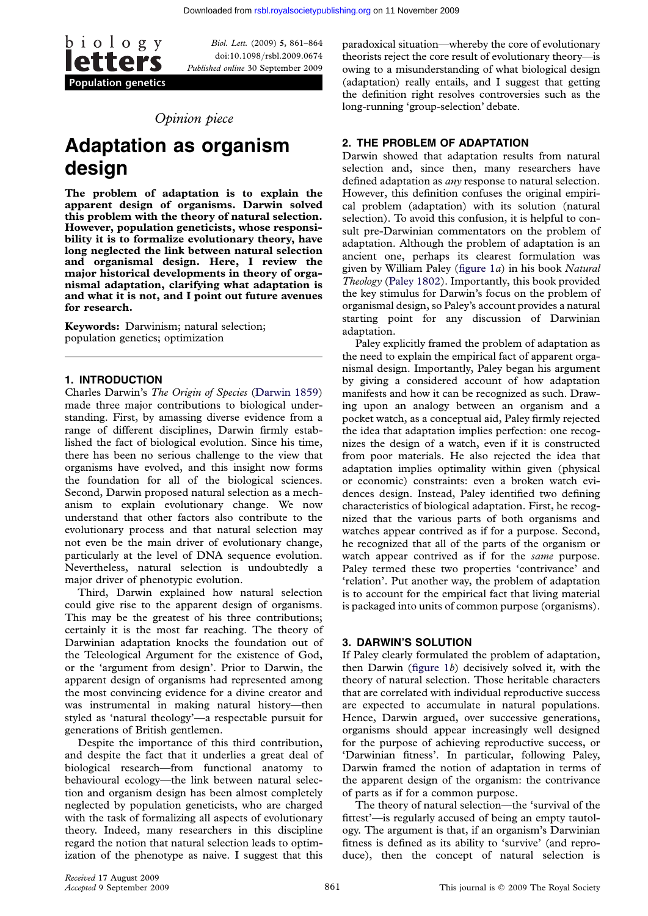

Biol. Lett. (2009) 5, 861–864 doi:10.1098/rsbl.2009.0674 Published online 30 September 2009

Opinion piece

# Adaptation as organism design

The problem of adaptation is to explain the apparent design of organisms. Darwin solved this problem with the theory of natural selection. However, population geneticists, whose responsibility it is to formalize evolutionary theory, have long neglected the link between natural selection and organismal design. Here, I review the major historical developments in theory of organismal adaptation, clarifying what adaptation is and what it is not, and I point out future avenues for research.

Keywords: Darwinism; natural selection; population genetics; optimization

#### 1. INTRODUCTION

Charles Darwin's The Origin of Species ([Darwin 1859\)](#page-3-0) made three major contributions to biological understanding. First, by amassing diverse evidence from a range of different disciplines, Darwin firmly established the fact of biological evolution. Since his time, there has been no serious challenge to the view that organisms have evolved, and this insight now forms the foundation for all of the biological sciences. Second, Darwin proposed natural selection as a mechanism to explain evolutionary change. We now understand that other factors also contribute to the evolutionary process and that natural selection may not even be the main driver of evolutionary change, particularly at the level of DNA sequence evolution. Nevertheless, natural selection is undoubtedly a major driver of phenotypic evolution.

Third, Darwin explained how natural selection could give rise to the apparent design of organisms. This may be the greatest of his three contributions; certainly it is the most far reaching. The theory of Darwinian adaptation knocks the foundation out of the Teleological Argument for the existence of God, or the 'argument from design'. Prior to Darwin, the apparent design of organisms had represented among the most convincing evidence for a divine creator and was instrumental in making natural history—then styled as 'natural theology'—a respectable pursuit for generations of British gentlemen.

Despite the importance of this third contribution, and despite the fact that it underlies a great deal of biological research—from functional anatomy to behavioural ecology—the link between natural selection and organism design has been almost completely neglected by population geneticists, who are charged with the task of formalizing all aspects of evolutionary theory. Indeed, many researchers in this discipline regard the notion that natural selection leads to optimization of the phenotype as naive. I suggest that this paradoxical situation—whereby the core of evolutionary theorists reject the core result of evolutionary theory—is owing to a misunderstanding of what biological design (adaptation) really entails, and I suggest that getting the definition right resolves controversies such as the long-running 'group-selection' debate.

## 2. THE PROBLEM OF ADAPTATION

Darwin showed that adaptation results from natural selection and, since then, many researchers have defined adaptation as *any* response to natural selection. However, this definition confuses the original empirical problem (adaptation) with its solution (natural selection). To avoid this confusion, it is helpful to consult pre-Darwinian commentators on the problem of adaptation. Although the problem of adaptation is an ancient one, perhaps its clearest formulation was given by William Paley (figure  $1a$ ) in his book Natural Theology [\(Paley 1802\)](#page-3-0). Importantly, this book provided the key stimulus for Darwin's focus on the problem of organismal design, so Paley's account provides a natural starting point for any discussion of Darwinian adaptation.

Paley explicitly framed the problem of adaptation as the need to explain the empirical fact of apparent organismal design. Importantly, Paley began his argument by giving a considered account of how adaptation manifests and how it can be recognized as such. Drawing upon an analogy between an organism and a pocket watch, as a conceptual aid, Paley firmly rejected the idea that adaptation implies perfection: one recognizes the design of a watch, even if it is constructed from poor materials. He also rejected the idea that adaptation implies optimality within given (physical or economic) constraints: even a broken watch evidences design. Instead, Paley identified two defining characteristics of biological adaptation. First, he recognized that the various parts of both organisms and watches appear contrived as if for a purpose. Second, he recognized that all of the parts of the organism or watch appear contrived as if for the same purpose. Paley termed these two properties 'contrivance' and 'relation'. Put another way, the problem of adaptation is to account for the empirical fact that living material is packaged into units of common purpose (organisms).

#### 3. DARWIN'S SOLUTION

If Paley clearly formulated the problem of adaptation, then Darwin (figure  $1b$ ) decisively solved it, with the theory of natural selection. Those heritable characters that are correlated with individual reproductive success are expected to accumulate in natural populations. Hence, Darwin argued, over successive generations, organisms should appear increasingly well designed for the purpose of achieving reproductive success, or 'Darwinian fitness'. In particular, following Paley, Darwin framed the notion of adaptation in terms of the apparent design of the organism: the contrivance of parts as if for a common purpose.

The theory of natural selection—the 'survival of the fittest'—is regularly accused of being an empty tautology. The argument is that, if an organism's Darwinian fitness is defined as its ability to 'survive' (and reproduce), then the concept of natural selection is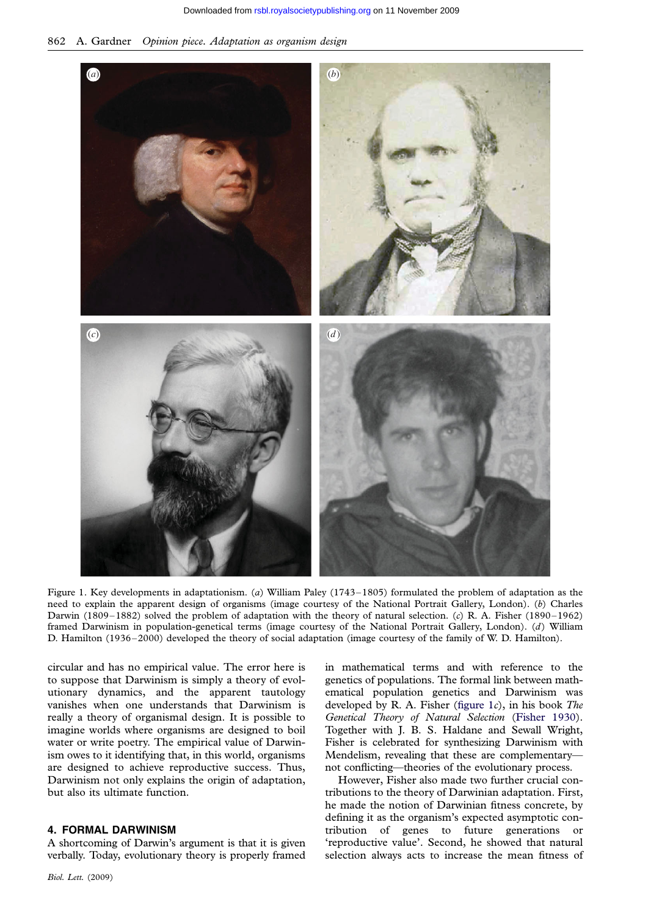<span id="page-1-0"></span>862 A. Gardner Opinion piece. Adaptation as organism design



Figure 1. Key developments in adaptationism. (a) William Paley (1743–1805) formulated the problem of adaptation as the need to explain the apparent design of organisms (image courtesy of the National Portrait Gallery, London). (b) Charles Darwin (1809–1882) solved the problem of adaptation with the theory of natural selection. (c) R. A. Fisher (1890–1962) framed Darwinism in population-genetical terms (image courtesy of the National Portrait Gallery, London). (d) William D. Hamilton (1936–2000) developed the theory of social adaptation (image courtesy of the family of W. D. Hamilton).

circular and has no empirical value. The error here is to suppose that Darwinism is simply a theory of evolutionary dynamics, and the apparent tautology vanishes when one understands that Darwinism is really a theory of organismal design. It is possible to imagine worlds where organisms are designed to boil water or write poetry. The empirical value of Darwinism owes to it identifying that, in this world, organisms are designed to achieve reproductive success. Thus, Darwinism not only explains the origin of adaptation, but also its ultimate function.

### 4. FORMAL DARWINISM

A shortcoming of Darwin's argument is that it is given verbally. Today, evolutionary theory is properly framed

in mathematical terms and with reference to the genetics of populations. The formal link between mathematical population genetics and Darwinism was developed by R. A. Fisher (figure 1c), in his book *The* Genetical Theory of Natural Selection [\(Fisher 1930](#page-3-0)). Together with J. B. S. Haldane and Sewall Wright, Fisher is celebrated for synthesizing Darwinism with Mendelism, revealing that these are complementary not conflicting—theories of the evolutionary process.

However, Fisher also made two further crucial contributions to the theory of Darwinian adaptation. First, he made the notion of Darwinian fitness concrete, by defining it as the organism's expected asymptotic contribution of genes to future generations or 'reproductive value'. Second, he showed that natural selection always acts to increase the mean fitness of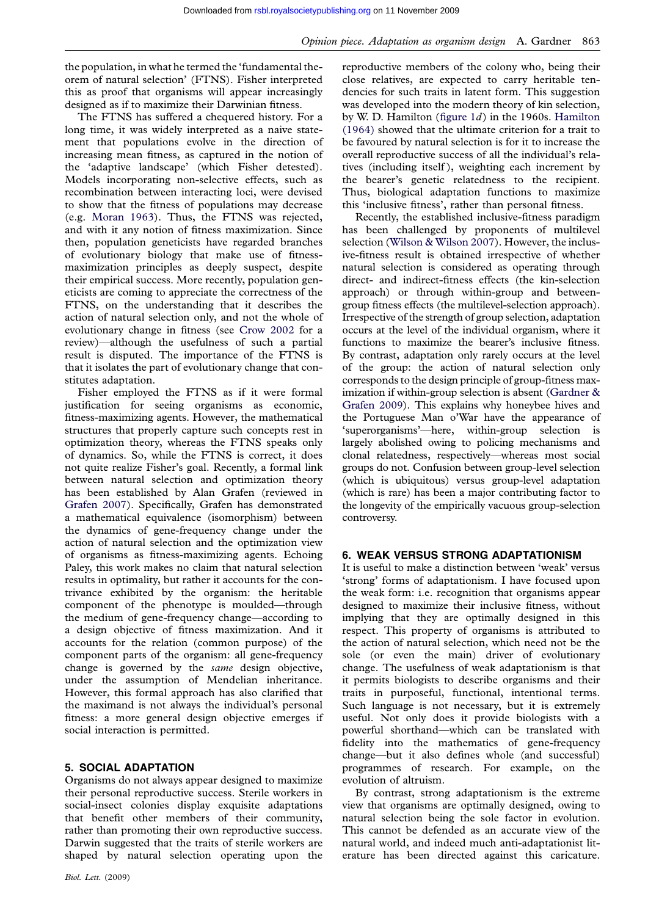the population, in what he termed the 'fundamental theorem of natural selection' (FTNS). Fisher interpreted this as proof that organisms will appear increasingly designed as if to maximize their Darwinian fitness.

The FTNS has suffered a chequered history. For a long time, it was widely interpreted as a naive statement that populations evolve in the direction of increasing mean fitness, as captured in the notion of the 'adaptive landscape' (which Fisher detested). Models incorporating non-selective effects, such as recombination between interacting loci, were devised to show that the fitness of populations may decrease (e.g. [Moran 1963\)](#page-3-0). Thus, the FTNS was rejected, and with it any notion of fitness maximization. Since then, population geneticists have regarded branches of evolutionary biology that make use of fitnessmaximization principles as deeply suspect, despite their empirical success. More recently, population geneticists are coming to appreciate the correctness of the FTNS, on the understanding that it describes the action of natural selection only, and not the whole of evolutionary change in fitness (see [Crow 2002](#page-3-0) for a review)—although the usefulness of such a partial result is disputed. The importance of the FTNS is that it isolates the part of evolutionary change that constitutes adaptation.

Fisher employed the FTNS as if it were formal justification for seeing organisms as economic, fitness-maximizing agents. However, the mathematical structures that properly capture such concepts rest in optimization theory, whereas the FTNS speaks only of dynamics. So, while the FTNS is correct, it does not quite realize Fisher's goal. Recently, a formal link between natural selection and optimization theory has been established by Alan Grafen (reviewed in [Grafen 2007](#page-3-0)). Specifically, Grafen has demonstrated a mathematical equivalence (isomorphism) between the dynamics of gene-frequency change under the action of natural selection and the optimization view of organisms as fitness-maximizing agents. Echoing Paley, this work makes no claim that natural selection results in optimality, but rather it accounts for the contrivance exhibited by the organism: the heritable component of the phenotype is moulded—through the medium of gene-frequency change—according to a design objective of fitness maximization. And it accounts for the relation (common purpose) of the component parts of the organism: all gene-frequency change is governed by the same design objective, under the assumption of Mendelian inheritance. However, this formal approach has also clarified that the maximand is not always the individual's personal fitness: a more general design objective emerges if social interaction is permitted.

#### 5. SOCIAL ADAPTATION

Organisms do not always appear designed to maximize their personal reproductive success. Sterile workers in social-insect colonies display exquisite adaptations that benefit other members of their community, rather than promoting their own reproductive success. Darwin suggested that the traits of sterile workers are shaped by natural selection operating upon the

Biol. Lett. (2009)

reproductive members of the colony who, being their close relatives, are expected to carry heritable tendencies for such traits in latent form. This suggestion was developed into the modern theory of kin selection, by W. D. [Hamilton](#page-3-0) (figure  $1d$ ) in the 1960s. Hamilton [\(1964\)](#page-3-0) showed that the ultimate criterion for a trait to be favoured by natural selection is for it to increase the overall reproductive success of all the individual's relatives (including itself ), weighting each increment by the bearer's genetic relatedness to the recipient. Thus, biological adaptation functions to maximize this 'inclusive fitness', rather than personal fitness.

Recently, the established inclusive-fitness paradigm has been challenged by proponents of multilevel selection [\(Wilson & Wilson 2007\)](#page-3-0). However, the inclusive-fitness result is obtained irrespective of whether natural selection is considered as operating through direct- and indirect-fitness effects (the kin-selection approach) or through within-group and betweengroup fitness effects (the multilevel-selection approach). Irrespective of the strength of group selection, adaptation occurs at the level of the individual organism, where it functions to maximize the bearer's inclusive fitness. By contrast, adaptation only rarely occurs at the level of the group: the action of natural selection only corresponds to the design principle of group-fitness maximization if within-group selection is absent [\(Gardner &](#page-3-0) [Grafen 2009](#page-3-0)). This explains why honeybee hives and the Portuguese Man o'War have the appearance of 'superorganisms'—here, within-group selection is largely abolished owing to policing mechanisms and clonal relatedness, respectively—whereas most social groups do not. Confusion between group-level selection (which is ubiquitous) versus group-level adaptation (which is rare) has been a major contributing factor to the longevity of the empirically vacuous group-selection controversy.

# 6. WEAK VERSUS STRONG ADAPTATIONISM

It is useful to make a distinction between 'weak' versus 'strong' forms of adaptationism. I have focused upon the weak form: i.e. recognition that organisms appear designed to maximize their inclusive fitness, without implying that they are optimally designed in this respect. This property of organisms is attributed to the action of natural selection, which need not be the sole (or even the main) driver of evolutionary change. The usefulness of weak adaptationism is that it permits biologists to describe organisms and their traits in purposeful, functional, intentional terms. Such language is not necessary, but it is extremely useful. Not only does it provide biologists with a powerful shorthand—which can be translated with fidelity into the mathematics of gene-frequency change—but it also defines whole (and successful) programmes of research. For example, on the evolution of altruism.

By contrast, strong adaptationism is the extreme view that organisms are optimally designed, owing to natural selection being the sole factor in evolution. This cannot be defended as an accurate view of the natural world, and indeed much anti-adaptationist literature has been directed against this caricature.